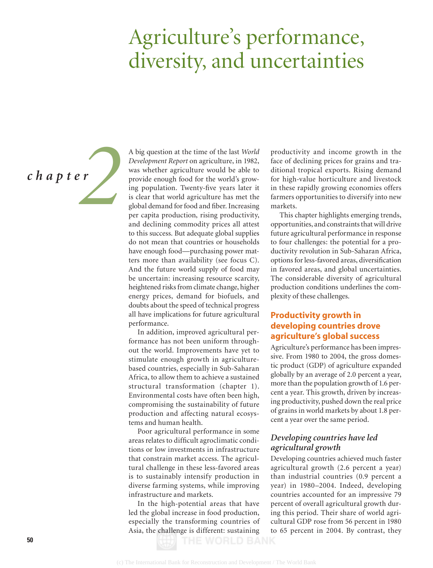# Agriculture's performance, diversity, and uncertainties

*chapter 2*

A big question at the time of the last *World Development Report* on agriculture, in 1982, was whether agriculture would be able to provide enough food for the world's growing population. Twenty-five years later it is clear that world agriculture has met the global demand for food and fiber. Increasing per capita production, rising productivity, and declining commodity prices all attest to this success. But adequate global supplies do not mean that countries or households have enough food—purchasing power matters more than availability (see focus C). And the future world supply of food may be uncertain: increasing resource scarcity, heightened risks from climate change, higher energy prices, demand for biofuels, and doubts about the speed of technical progress all have implications for future agricultural performance.

In addition, improved agricultural performance has not been uniform throughout the world. Improvements have yet to stimulate enough growth in agriculturebased countries, especially in Sub-Saharan Africa, to allow them to achieve a sustained structural transformation (chapter 1). Environmental costs have often been high, compromising the sustainability of future production and affecting natural ecosystems and human health.

Poor agricultural performance in some areas relates to difficult agroclimatic conditions or low investments in infrastructure that constrain market access. The agricultural challenge in these less-favored areas is to sustainably intensify production in diverse farming systems, while improving infrastructure and markets.

In the high-potential areas that have led the global increase in food production, especially the transforming countries of Asia, the challenge is different: sustaining productivity and income growth in the face of declining prices for grains and traditional tropical exports. Rising demand for high-value horticulture and livestock in these rapidly growing economies offers farmers opportunities to diversify into new markets.

This chapter highlights emerging trends, opportunities, and constraints that will drive future agricultural performance in response to four challenges: the potential for a productivity revolution in Sub-Saharan Africa, options for less-favored areas, diversification in favored areas, and global uncertainties. The considerable diversity of agricultural production conditions underlines the complexity of these challenges.

# **Productivity growth in developing countries drove agriculture's global success**

Agriculture's performance has been impressive. From 1980 to 2004, the gross domestic product (GDP) of agriculture expanded globally by an average of 2.0 percent a year, more than the population growth of 1.6 percent a year. This growth, driven by increasing productivity, pushed down the real price of grains in world markets by about 1.8 percent a year over the same period.

# *Developing countries have led agricultural growth*

Developing countries achieved much faster agricultural growth (2.6 percent a year) than industrial countries (0.9 percent a year) in 1980–2004. Indeed, developing countries accounted for an impressive 79 percent of overall agricultural growth during this period. Their share of world agricultural GDP rose from 56 percent in 1980 to 65 percent in 2004. By contrast, they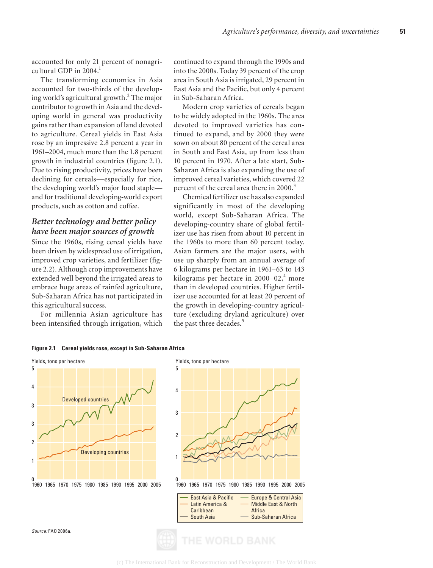accounted for only 21 percent of nonagricultural GDP in 2004.<sup>1</sup>

The transforming economies in Asia accounted for two-thirds of the developing world's agricultural growth.<sup>2</sup> The major contributor to growth in Asia and the developing world in general was productivity gains rather than expansion of land devoted to agriculture. Cereal yields in East Asia rose by an impressive 2.8 percent a year in 1961–2004, much more than the 1.8 percent growth in industrial countries (figure 2.1). Due to rising productivity, prices have been declining for cereals—especially for rice, the developing world's major food staple and for traditional developing-world export products, such as cotton and coffee.

## *Better technology and better policy have been major sources of growth*

Since the 1960s, rising cereal yields have been driven by widespread use of irrigation, improved crop varieties, and fertilizer (figure 2.2). Although crop improvements have extended well beyond the irrigated areas to embrace huge areas of rainfed agriculture, Sub-Saharan Africa has not participated in this agricultural success.

For millennia Asian agriculture has been intensified through irrigation, which continued to expand through the 1990s and into the 2000s. Today 39 percent of the crop area in South Asia is irrigated, 29 percent in East Asia and the Pacific, but only 4 percent in Sub-Saharan Africa.

Modern crop varieties of cereals began to be widely adopted in the 1960s. The area devoted to improved varieties has continued to expand, and by 2000 they were sown on about 80 percent of the cereal area in South and East Asia, up from less than 10 percent in 1970. After a late start, Sub-Saharan Africa is also expanding the use of improved cereal varieties, which covered 22 percent of the cereal area there in 2000.<sup>3</sup>

Chemical fertilizer use has also expanded significantly in most of the developing world, except Sub-Saharan Africa. The developing-country share of global fertilizer use has risen from about 10 percent in the 1960s to more than 60 percent today. Asian farmers are the major users, with use up sharply from an annual average of 6 kilograms per hectare in 1961–63 to 143 kilograms per hectare in 2000-02,<sup>4</sup> more than in developed countries. Higher fertilizer use accounted for at least 20 percent of the growth in developing-country agriculture (excluding dryland agriculture) over the past three decades.<sup>5</sup>

**Figure 2.1 Cereal yields rose, except in Sub-Saharan Africa**



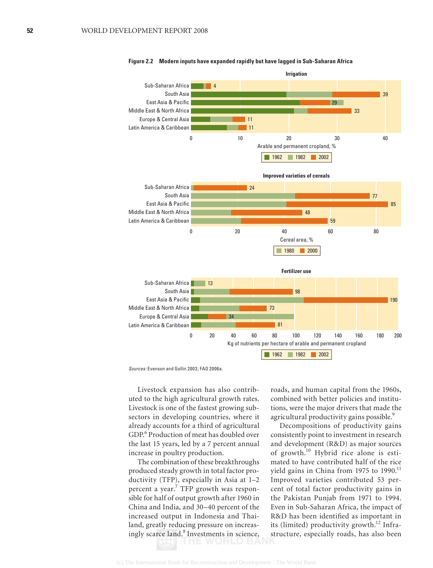

**Figure 2.2 Modern inputs have expanded rapidly but have lagged in Sub-Saharan Africa**

Sources: Evenson and Gollin 2003; FAO 2006a.

Livestock expansion has also contributed to the high agricultural growth rates. Livestock is one of the fastest growing subsectors in developing countries, where it already accounts for a third of agricultural GDP.<sup>6</sup> Production of meat has doubled over the last 15 years, led by a 7 percent annual increase in poultry production.

The combination of these breakthroughs produced steady growth in total factor productivity (TFP), especially in Asia at 1–2 percent a year.<sup>7</sup> TFP growth was responsible for half of output growth after 1960 in China and India, and 30–40 percent of the increased output in Indonesia and Thailand, greatly reducing pressure on increasingly scarce land.<sup>8</sup> Investments in science, roads, and human capital from the 1960s, combined with better policies and institutions, were the major drivers that made the agricultural productivity gains possible.<sup>9</sup>

Decompositions of productivity gains consistently point to investment in research and development (R&D) as major sources of growth.10 Hybrid rice alone is estimated to have contributed half of the rice yield gains in China from 1975 to 1990.<sup>11</sup> Improved varieties contributed 53 percent of total factor productivity gains in the Pakistan Punjab from 1971 to 1994. Even in Sub-Saharan Africa, the impact of R&D has been identified as important in its (limited) productivity growth.<sup>12</sup> Infrastructure, especially roads, has also been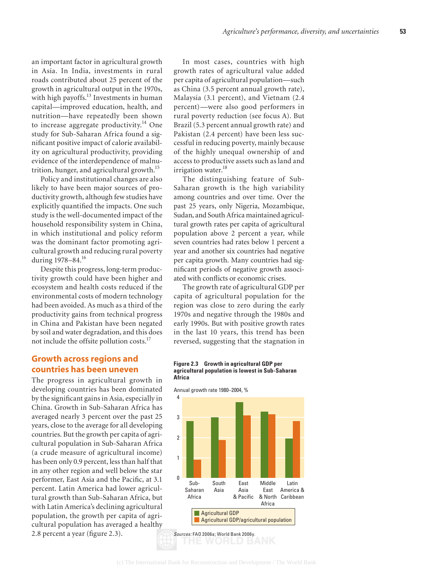an important factor in agricultural growth in Asia. In India, investments in rural roads contributed about 25 percent of the growth in agricultural output in the 1970s, with high payoffs.<sup>13</sup> Investments in human capital—improved education, health, and nutrition—have repeatedly been shown to increase aggregate productivity.<sup>14</sup> One study for Sub-Saharan Africa found a significant positive impact of calorie availability on agricultural productivity, providing evidence of the interdependence of malnutrition, hunger, and agricultural growth.<sup>15</sup>

Policy and institutional changes are also likely to have been major sources of productivity growth, although few studies have explicitly quantified the impacts. One such study is the well-documented impact of the household responsibility system in China, in which institutional and policy reform was the dominant factor promoting agricultural growth and reducing rural poverty during 1978–84.<sup>16</sup>

Despite this progress, long-term productivity growth could have been higher and ecosystem and health costs reduced if the environmental costs of modern technology had been avoided. As much as a third of the productivity gains from technical progress in China and Pakistan have been negated by soil and water degradation, and this does not include the offsite pollution costs.<sup>17</sup>

## **Growth across regions and countries has been uneven**

The progress in agricultural growth in developing countries has been dominated by the significant gains in Asia, especially in China. Growth in Sub-Saharan Africa has averaged nearly 3 percent over the past 25 years, close to the average for all developing countries. But the growth per capita of agricultural population in Sub-Saharan Africa (a crude measure of agricultural income) has been only 0.9 percent, less than half that in any other region and well below the star performer, East Asia and the Pacific, at 3.1 percent. Latin America had lower agricultural growth than Sub-Saharan Africa, but with Latin America's declining agricultural population, the growth per capita of agricultural population has averaged a healthy 2.8 percent a year (figure 2.3).

In most cases, countries with high growth rates of agricultural value added per capita of agricultural population—such as China (3.5 percent annual growth rate), Malaysia (3.1 percent), and Vietnam (2.4 percent)—were also good performers in rural poverty reduction (see focus A). But Brazil (5.3 percent annual growth rate) and Pakistan (2.4 percent) have been less successful in reducing poverty, mainly because of the highly unequal ownership of and access to productive assets such as land and irrigation water.<sup>18</sup>

The distinguishing feature of Sub-Saharan growth is the high variability among countries and over time. Over the past 25 years, only Nigeria, Mozambique, Sudan, and South Africa maintained agricultural growth rates per capita of agricultural population above 2 percent a year, while seven countries had rates below 1 percent a year and another six countries had negative per capita growth. Many countries had significant periods of negative growth associated with conflicts or economic crises.

The growth rate of agricultural GDP per capita of agricultural population for the region was close to zero during the early 1970s and negative through the 1980s and early 1990s. But with positive growth rates in the last 10 years, this trend has been reversed, suggesting that the stagnation in

#### **Figure 2.3 Growth in agricultural GDP per agricultural population is lowest in Sub-Saharan Africa**

Annual growth rate 1980–2004, %

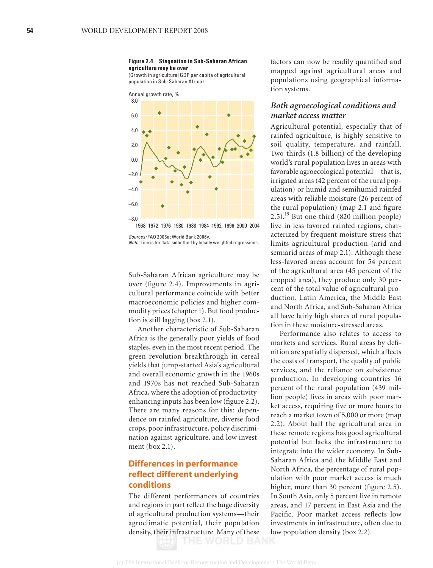#### **Figure 2.4 Stagnation in Sub-Saharan African agriculture may be over**

(Growth in agricultural GDP per capita of agricultural population in Sub-Saharan Africa)



Sources: FAO 2006a; World Bank 2006y.

Sub-Saharan African agriculture may be over (figure 2.4). Improvements in agricultural performance coincide with better macroeconomic policies and higher commodity prices (chapter 1). But food production is still lagging (box 2.1).

Another characteristic of Sub-Saharan Africa is the generally poor yields of food staples, even in the most recent period. The green revolution breakthrough in cereal yields that jump-started Asia's agricultural and overall economic growth in the 1960s and 1970s has not reached Sub-Saharan Africa, where the adoption of productivityenhancing inputs has been low (figure 2.2). There are many reasons for this: dependence on rainfed agriculture, diverse food crops, poor infrastructure, policy discrimination against agriculture, and low investment (box 2.1).

# **Differences in performance reflect different underlying conditions**

The different performances of countries and regions in part reflect the huge diversity of agricultural production systems—their agroclimatic potential, their population density, their infrastructure. Many of these

factors can now be readily quantified and mapped against agricultural areas and populations using geographical information systems.

# *Both agroecological conditions and market access matter*

Agricultural potential, especially that of rainfed agriculture, is highly sensitive to soil quality, temperature, and rainfall. Two-thirds (1.8 billion) of the developing world's rural population lives in areas with favorable agroecological potential—that is, irrigated areas (42 percent of the rural population) or humid and semihumid rainfed areas with reliable moisture (26 percent of the rural population) (map  $2.1$  and figure 2.5).19 But one-third (820 million people) live in less favored rainfed regions, characterized by frequent moisture stress that limits agricultural production (arid and semiarid areas of map 2.1). Although these less-favored areas account for 54 percent of the agricultural area (45 percent of the cropped area), they produce only 30 percent of the total value of agricultural production. Latin America, the Middle East and North Africa, and Sub-Saharan Africa all have fairly high shares of rural population in these moisture-stressed areas.

Performance also relates to access to markets and services. Rural areas by definition are spatially dispersed, which affects the costs of transport, the quality of public services, and the reliance on subsistence production. In developing countries 16 percent of the rural population (439 million people) lives in areas with poor market access, requiring five or more hours to reach a market town of 5,000 or more (map 2.2). About half the agricultural area in these remote regions has good agricultural potential but lacks the infrastructure to integrate into the wider economy. In Sub-Saharan Africa and the Middle East and North Africa, the percentage of rural population with poor market access is much higher, more than 30 percent (figure 2.5). In South Asia, only 5 percent live in remote areas, and 17 percent in East Asia and the Pacific. Poor market access reflects low investments in infrastructure, often due to low population density (box 2.2).

Note: Line is for data smoothed by locally weighted regressions.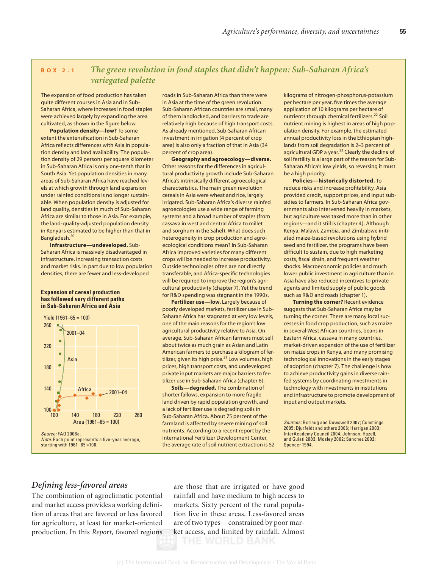# **BOX 2.1** *The green revolution in food staples that didn't happen: Sub-Saharan Africa's variegated palette*

The expansion of food production has taken quite different courses in Asia and in Sub-Saharan Africa, where increases in food staples were achieved largely by expanding the area cultivated, as shown in the figure below.

**Population density—low?** To some extent the extensification in Sub-Saharan Africa reflects differences with Asia in population density and land availability. The population density of 29 persons per square kilometer in Sub-Saharan Africa is only one-tenth that in South Asia. Yet population densities in many areas of Sub-Saharan Africa have reached levels at which growth through land expansion under rainfed conditions is no longer sustainable. When population density is adjusted for land quality, densities in much of Sub-Saharan Africa are similar to those in Asia. For example, the land-quality-adjusted population density in Kenya is estimated to be higher than that in Bangladesh.<sup>20</sup>

**Infrastructure—undeveloped.** Sub-Saharan Africa is massively disadvantaged in infrastructure, increasing transaction costs and market risks. In part due to low population densities, there are fewer and less-developed

#### **Expansion of cereal production has followed very different paths in Sub-Saharan Africa and Asia**



roads in Sub-Saharan Africa than there were in Asia at the time of the green revolution. Sub-Saharan African countries are small, many of them landlocked, and barriers to trade are relatively high because of high transport costs. As already mentioned, Sub-Saharan African investment in irrigation (4 percent of crop area) is also only a fraction of that in Asia (34 percent of crop area).

**Geography and agroecology—diverse.**  Other reasons for the differences in agricultural productivity growth include Sub-Saharan Africa's intrinsically different agroecological characteristics. The main green revolution cereals in Asia were wheat and rice, largely irrigated. Sub-Saharan Africa's diverse rainfed agroecologies use a wide range of farming systems and a broad number of staples (from cassava in west and central Africa to millet and sorghum in the Sahel). What does such heterogeneity in crop production and agroecological conditions mean? In Sub-Saharan Africa improved varieties for many different crops will be needed to increase productivity. Outside technologies often are not directly transferable, and Africa-specific technologies will be required to improve the region's agricultural productivity (chapter 7). Yet the trend for R&D spending was stagnant in the 1990s.

**Fertilizer use—low.** Largely because of poorly developed markets, fertilizer use in Sub-Saharan Africa has stagnated at very low levels, one of the main reasons for the region's low agricultural productivity relative to Asia. On average, Sub-Saharan African farmers must sell about twice as much grain as Asian and Latin American farmers to purchase a kilogram of fertilizer, given its high price.<sup>21</sup> Low volumes, high prices, high transport costs, and undeveloped private input markets are major barriers to fertilizer use in Sub-Saharan Africa (chapter 6).

**Soils—degraded.** The combination of shorter fallows, expansion to more fragile land driven by rapid population growth, and a lack of fertilizer use is degrading soils in Sub-Saharan Africa. About 75 percent of the farmland is affected by severe mining of soil nutrients. According to a recent report by the International Fertilizer Development Center, the average rate of soil nutrient extraction is 52

kilograms of nitrogen-phosphorus-potassium per hectare per year, five times the average application of 10 kilograms per hectare of nutrients through chemical fertilizers.22 Soil nutrient mining is highest in areas of high population density. For example, the estimated annual productivity loss in the Ethiopian highlands from soil degradation is 2–3 percent of agricultural GDP a year.<sup>23</sup> Clearly the decline of soil fertility is a large part of the reason for Sub-Saharan Africa's low yields, so reversing it must be a high priority.

**Policies—historically distorted.** To reduce risks and increase profitability, Asia provided credit, support prices, and input subsidies to farmers. In Sub-Saharan Africa governments also intervened heavily in markets, but agriculture was taxed more than in other regions—and it still is (chapter 4). Although Kenya, Malawi, Zambia, and Zimbabwe initiated maize-based revolutions using hybrid seed and fertilizer, the programs have been difficult to sustain, due to high marketing costs, fiscal drain, and frequent weather shocks. Macroeconomic policies and much lower public investment in agriculture than in Asia have also reduced incentives to private agents and limited supply of public goods such as R&D and roads (chapter 1).

**Turning the corner?** Recent evidence suggests that Sub-Saharan Africa may be turning the corner. There are many local successes in food crop production, such as maize in several West African countries, beans in Eastern Africa, cassava in many countries, market-driven expansion of the use of fertilizer on maize crops in Kenya, and many promising technological innovations in the early stages of adoption (chapter 7). The challenge is how to achieve productivity gains in diverse rainfed systems by coordinating investments in technology with investments in institutions and infrastructure to promote development of input and output markets.

Sources: Borlaug and Dowswell 2007; Cummings 2005; Djurfeldt and others 2006; Harrigan 2003; InterAcademy Council 2004; Johnson, Hazell, and Gulati 2003; Mosley 2002; Sanchez 2002; Spencer 1994.

## *Defi ning less-favored areas*

The combination of agroclimatic potential and market access provides a working definition of areas that are favored or less favored for agriculture, at least for market-oriented production. In this *Report,* favored regions

are those that are irrigated or have good rainfall and have medium to high access to markets. Sixty percent of the rural population live in these areas. Less-favored areas are of two types—constrained by poor market access, and limited by rainfall. Almost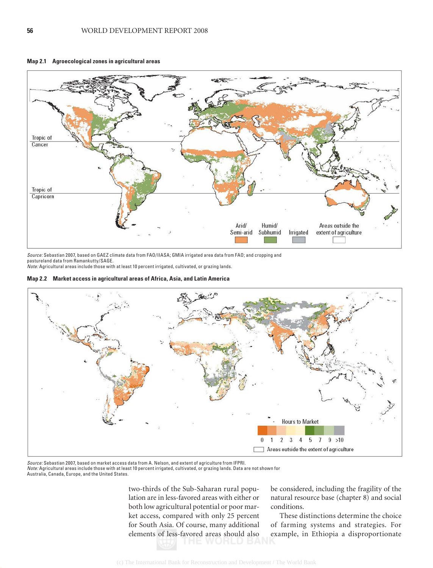



Source: Sebastian 2007, based on GAEZ climate data from FAO/IIASA; GMIA irrigated area data from FAO; and cropping and pastureland data from Ramankutty/SAGE.

.<br>*Note:* Agricultural areas include those with at least 10 percent irrigated, cultivated, or grazing lands.

**Map 2.2 Market access in agricultural areas of Africa, Asia, and Latin America**



Source: Sebastian 2007, based on market access data from A. Nelson, and extent of agriculture from IFPRI. Note: Agricultural areas include those with at least 10 percent irrigated, cultivated, or grazing lands. Data are not shown for Australia, Canada, Europe, and the United States.

> two-thirds of the Sub-Saharan rural population are in less-favored areas with either or both low agricultural potential or poor market access, compared with only 25 percent for South Asia. Of course, many additional elements of less-favored areas should also

be considered, including the fragility of the natural resource base (chapter 8) and social conditions.

These distinctions determine the choice of farming systems and strategies. For example, in Ethiopia a disproportionate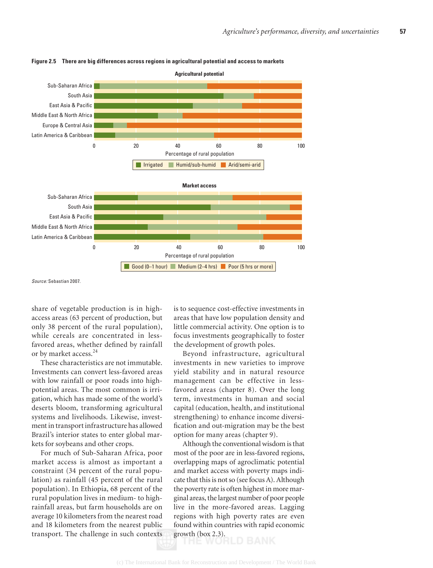

#### **Figure 2.5 There are big differences across regions in agricultural potential and access to markets**

Source: Sebastian 2007.

share of vegetable production is in highaccess areas (63 percent of production, but only 38 percent of the rural population), while cereals are concentrated in lessfavored areas, whether defined by rainfall or by market access.<sup>24</sup>

These characteristics are not immutable. Investments can convert less-favored areas with low rainfall or poor roads into highpotential areas. The most common is irrigation, which has made some of the world's deserts bloom, transforming agricultural systems and livelihoods. Likewise, investment in transport infrastructure has allowed Brazil's interior states to enter global markets for soybeans and other crops.

For much of Sub-Saharan Africa, poor market access is almost as important a constraint (34 percent of the rural population) as rainfall (45 percent of the rural population). In Ethiopia, 68 percent of the rural population lives in medium- to highrainfall areas, but farm households are on average 10 kilometers from the nearest road and 18 kilometers from the nearest public transport. The challenge in such contexts is to sequence cost-effective investments in areas that have low population density and little commercial activity. One option is to focus investments geographically to foster the development of growth poles.

Beyond infrastructure, agricultural investments in new varieties to improve yield stability and in natural resource management can be effective in lessfavored areas (chapter 8). Over the long term, investments in human and social capital (education, health, and institutional strengthening) to enhance income diversification and out-migration may be the best option for many areas (chapter 9).

Although the conventional wisdom is that most of the poor are in less-favored regions, overlapping maps of agroclimatic potential and market access with poverty maps indicate that this is not so (see focus A). Although the poverty rate is often highest in more marginal areas, the largest number of poor people live in the more-favored areas. Lagging regions with high poverty rates are even found within countries with rapid economic growth (box 2.3).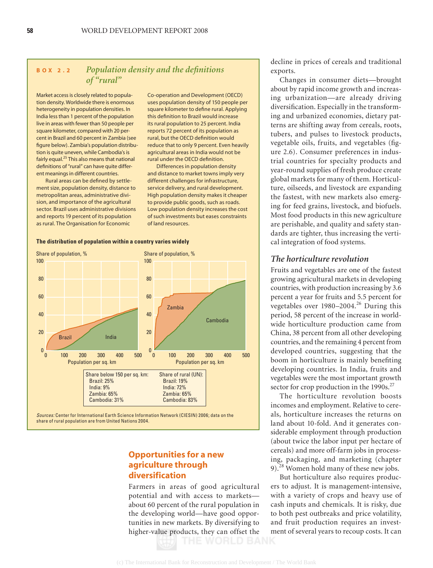# **BOX 2.2** Population density and the definitions *of "rural"*

Market access is closely related to population density. Worldwide there is enormous heterogeneity in population densities. In India less than 1 percent of the population live in areas with fewer than 50 people per square kilometer, compared with 20 percent in Brazil and 60 percent in Zambia (see figure below). Zambia's population distribution is quite uneven, while Cambodia's is fairly equal.25 This also means that national definitions of "rural" can have quite different meanings in different countries.

Rural areas can be defined by settlement size, population density, distance to metropolitan areas, administrative division, and importance of the agricultural sector. Brazil uses administrative divisions and reports 19 percent of its population as rural. The Organisation for Economic

Co-operation and Development (OECD) uses population density of 150 people per square kilometer to define rural. Applying this definition to Brazil would increase its rural population to 25 percent. India reports 72 percent of its population as rural, but the OECD definition would reduce that to only 9 percent. Even heavily agricultural areas in India would not be rural under the OECD definition.

Differences in population density and distance to market towns imply very different challenges for infrastructure, service delivery, and rural development. High population density makes it cheaper to provide public goods, such as roads. Low population density increases the cost of such investments but eases constraints of land resources.





Sources: Center for International Earth Science Information Network (CIESIN) 2006; data on the share of rural population are from United Nations 2004.

# **Opportunities for a new agriculture through diversification**

Farmers in areas of good agricultural potential and with access to markets about 60 percent of the rural population in the developing world—have good opportunities in new markets. By diversifying to higher-value products, they can offset the decline in prices of cereals and traditional exports.

Changes in consumer diets—brought about by rapid income growth and increasing urbanization—are already driving diversification. Especially in the transforming and urbanized economies, dietary patterns are shifting away from cereals, roots, tubers, and pulses to livestock products, vegetable oils, fruits, and vegetables (figure 2.6). Consumer preferences in industrial countries for specialty products and year-round supplies of fresh produce create global markets for many of them. Horticulture, oilseeds, and livestock are expanding the fastest, with new markets also emerging for feed grains, livestock, and biofuels. Most food products in this new agriculture are perishable, and quality and safety standards are tighter, thus increasing the vertical integration of food systems.

## *The horticulture revolution*

Fruits and vegetables are one of the fastest growing agricultural markets in developing countries, with production increasing by 3.6 percent a year for fruits and 5.5 percent for vegetables over 1980–2004.<sup>26</sup> During this period, 58 percent of the increase in worldwide horticulture production came from China, 38 percent from all other developing countries, and the remaining 4 percent from developed countries, suggesting that the boom in horticulture is mainly benefiting developing countries. In India, fruits and vegetables were the most important growth sector for crop production in the  $1990s$ .<sup>27</sup>

The horticulture revolution boosts incomes and employment. Relative to cereals, horticulture increases the returns on land about 10-fold. And it generates considerable employment through production (about twice the labor input per hectare of cereals) and more off-farm jobs in processing, packaging, and marketing (chapter 9).28 Women hold many of these new jobs.

But horticulture also requires producers to adjust. It is management-intensive, with a variety of crops and heavy use of cash inputs and chemicals. It is risky, due to both pest outbreaks and price volatility, and fruit production requires an investment of several years to recoup costs. It can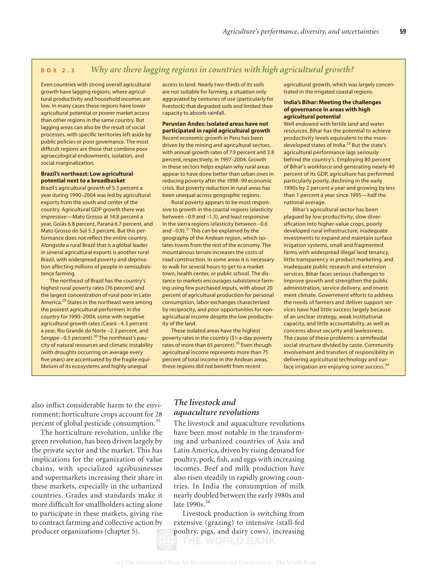# **BOX 2.3** *Why are there lagging regions in countries with high agricultural growth?*

Even countries with strong overall agricultural growth have lagging regions, where agricultural productivity and household incomes are low. In many cases these regions have lower agricultural potential or poorer market access than other regions in the same country. But lagging areas can also be the result of social processes, with specific territories left aside by public policies or poor governance. The most difficult regions are those that combine poor agroecological endowments, isolation, and social marginalization.

#### **Brazil's northeast: Low agricultural potential next to a breadbasket**

Brazil's agricultural growth of 5.3 percent a year during 1990–2004 was led by agricultural exports from the south and center of the country. Agricultural GDP growth there was impressive—Mato Grosso at 14.8 percent a year, Goiás 6.8 percent, Paraná 6.7 percent, and Mato Grosso do Sul 5.3 percent. But this performance does not reflect the entire country. Alongside a rural Brazil that is a global leader in several agricultural exports is another rural Brazil, with widespread poverty and deprivation affecting millions of people in semisubsistence farming.

The northeast of Brazil has the country's highest rural poverty rates (76 percent) and the largest concentration of rural poor in Latin America.<sup>29</sup> States in the northeast were among the poorest agricultural performers in the country for 1990–2004, some with negative agricultural growth rates (Ceará –4.3 percent a year, Rio Grande do Norte –2.3 percent, and Sergipe -0.5 percent).<sup>30</sup> The northeast's paucity of natural resources and climatic instability (with droughts occurring on average every five years) are accentuated by the fragile equilibrium of its ecosystems and highly unequal

access to land. Nearly two-thirds of its soils are not suitable for farming, a situation only aggravated by centuries of use (particularly for livestock) that degraded soils and limited their capacity to absorb rainfall.

**Peruvian Andes: Isolated areas have not participated in rapid agricultural growth** Recent economic growth in Peru has been driven by the mining and agricultural sectors, with annual growth rates of 7.9 percent and 3.8 percent, respectively, in 1997–2004. Growth in these sectors helps explain why rural areas appear to have done better than urban ones in reducing poverty after the 1998–99 economic crisis. But poverty reduction in rural areas has been unequal across geographic regions.

Rural poverty appears to be most responsive to growth in the coastal regions (elasticity between –0.9 and –1.3), and least responsive in the sierra regions (elasticity between –0.6 and  $-0.9$ ).<sup>31</sup> This can be explained by the geography of the Andean region, which isolates towns from the rest of the economy. The mountainous terrain increases the costs of road construction. In some areas it is necessary to walk for several hours to get to a market town, health center, or public school. The distance to markets encourages subsistence farming using few purchased inputs, with about 20 percent of agricultural production for personal consumption, labor exchanges characterized by reciprocity, and poor opportunities for nonagricultural income despite the low productivity of the land.

These isolated areas have the highest poverty rates in the country (\$1-a-day poverty rates of more than 65 percent).<sup>32</sup> Even though agricultural income represents more than 75 percent of total income in the Andean areas, these regions did not benefit from recent

agricultural growth, which was largely concentrated in the irrigated coastal regions.

#### **India's Bihar: Meeting the challenges of governance in areas with high agricultural potential**

Well endowed with fertile land and water resources, Bihar has the potential to achieve productivity levels equivalent to the moredeveloped states of India.<sup>33</sup> But the state's agricultural performance lags seriously behind the country's. Employing 80 percent of Bihar's workforce and generating nearly 40 percent of its GDP, agriculture has performed particularly poorly, declining in the early 1990s by 2 percent a year and growing by less than 1 percent a year since 1995—half the national average.

Bihar's agricultural sector has been plagued by low productivity, slow diversification into higher-value crops, poorly developed rural infrastructure, inadequate investments to expand and maintain surface irrigation systems, small and fragmented farms with widespread illegal land tenancy, little transparency in product marketing, and inadequate public research and extension services. Bihar faces serious challenges to improve growth and strengthen the public administration, service delivery, and investment climate. Government efforts to address the needs of farmers and deliver support services have had little success largely because of an unclear strategy, weak institutional capacity, and little accountability, as well as concerns about security and lawlessness. The cause of these problems: a semifeudal social structure divided by caste. Community involvement and transfers of responsibility in delivering agricultural technology and surface irrigation are enjoying some success.<sup>34</sup>

also inflict considerable harm to the environment: horticulture crops account for 28 percent of global pesticide consumption.<sup>35</sup>

The horticulture revolution, unlike the green revolution, has been driven largely by the private sector and the market. This has implications for the organization of value chains, with specialized agribusinesses and supermarkets increasing their share in these markets, especially in the urbanized countries. Grades and standards make it more difficult for smallholders acting alone to participate in these markets, giving rise to contract farming and collective action by producer organizations (chapter 5).

# *The livestock and aquaculture revolutions*

The livestock and aquaculture revolutions have been most notable in the transforming and urbanized countries of Asia and Latin America, driven by rising demand for poultry, pork, fish, and eggs with increasing incomes. Beef and milk production have also risen steadily in rapidly growing countries. In India the consumption of milk nearly doubled between the early 1980s and late  $1990s.^{36}$ 

Livestock production is switching from extensive (grazing) to intensive (stall-fed poultry, pigs, and dairy cows), increasing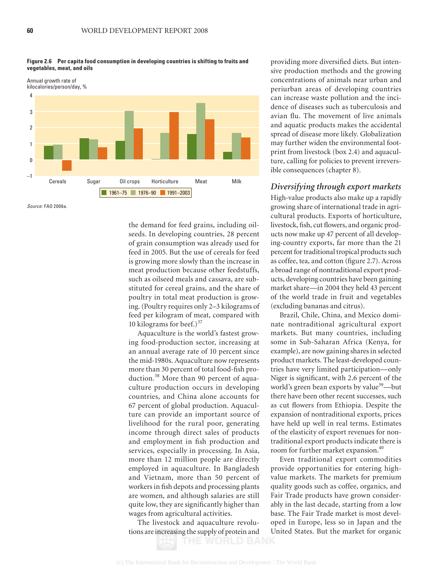



Source: FAO 2006a.

the demand for feed grains, including oilseeds. In developing countries, 28 percent of grain consumption was already used for feed in 2005. But the use of cereals for feed is growing more slowly than the increase in meat production because other feedstuffs, such as oilseed meals and cassava, are substituted for cereal grains, and the share of poultry in total meat production is growing. (Poultry requires only 2–3 kilograms of feed per kilogram of meat, compared with 10 kilograms for beef.) $37$ 

Aquaculture is the world's fastest growing food-production sector, increasing at an annual average rate of 10 percent since the mid-1980s. Aquaculture now represents more than 30 percent of total food-fish production.<sup>38</sup> More than 90 percent of aquaculture production occurs in developing countries, and China alone accounts for 67 percent of global production. Aquaculture can provide an important source of livelihood for the rural poor, generating income through direct sales of products and employment in fish production and services, especially in processing. In Asia, more than 12 million people are directly employed in aquaculture. In Bangladesh and Vietnam, more than 50 percent of workers in fish depots and processing plants are women, and although salaries are still quite low, they are significantly higher than wages from agricultural activities.

The livestock and aquaculture revolutions are increasing the supply of protein and

providing more diversified diets. But intensive production methods and the growing concentrations of animals near urban and periurban areas of developing countries can increase waste pollution and the incidence of diseases such as tuberculosis and avian flu. The movement of live animals and aquatic products makes the accidental spread of disease more likely. Globalization may further widen the environmental footprint from livestock (box 2.4) and aquaculture, calling for policies to prevent irreversible consequences (chapter 8).

## *Diversifying through export markets*

High-value products also make up a rapidly growing share of international trade in agricultural products. Exports of horticulture, livestock, fish, cut flowers, and organic products now make up 47 percent of all developing-country exports, far more than the 21 percent for traditional tropical products such as coffee, tea, and cotton (figure 2.7). Across a broad range of nontraditional export products, developing countries have been gaining market share—in 2004 they held 43 percent of the world trade in fruit and vegetables (excluding bananas and citrus).

Brazil, Chile, China, and Mexico dominate nontraditional agricultural export markets. But many countries, including some in Sub-Saharan Africa (Kenya, for example), are now gaining shares in selected product markets. The least-developed countries have very limited participation—only Niger is significant, with 2.6 percent of the world's green bean exports by value<sup>39</sup>—but there have been other recent successes, such as cut flowers from Ethiopia. Despite the expansion of nontraditional exports, prices have held up well in real terms. Estimates of the elasticity of export revenues for nontraditional export products indicate there is room for further market expansion.<sup>40</sup>

Even traditional export commodities provide opportunities for entering highvalue markets. The markets for premium quality goods such as coffee, organics, and Fair Trade products have grown considerably in the last decade, starting from a low base. The Fair Trade market is most developed in Europe, less so in Japan and the United States. But the market for organic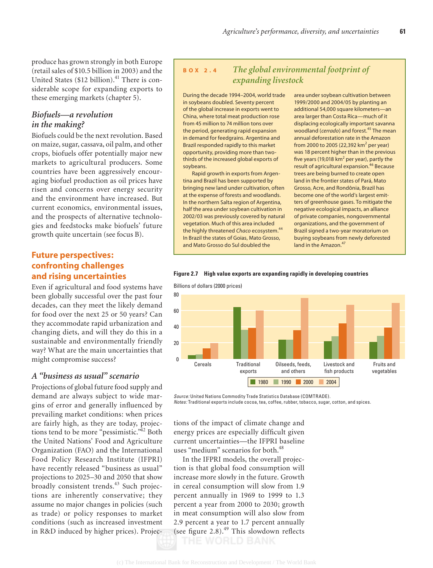produce has grown strongly in both Europe (retail sales of \$10.5 billion in 2003) and the United States (\$12 billion). $41$  There is considerable scope for expanding exports to these emerging markets (chapter 5).

## *Biofuels—a revolution in the making?*

Biofuels could be the next revolution. Based on maize, sugar, cassava, oil palm, and other crops, biofuels offer potentially major new markets to agricultural producers. Some countries have been aggressively encouraging biofuel production as oil prices have risen and concerns over energy security and the environment have increased. But current economics, environmental issues, and the prospects of alternative technologies and feedstocks make biofuels' future growth quite uncertain (see focus B).

# **Future perspectives: confronting challenges and rising uncertainties**

Even if agricultural and food systems have been globally successful over the past four decades, can they meet the likely demand for food over the next 25 or 50 years? Can they accommodate rapid urbanization and changing diets, and will they do this in a sustainable and environmentally friendly way? What are the main uncertainties that might compromise success?

# *A "business as usual" scenario*

Projections of global future food supply and demand are always subject to wide margins of error and generally influenced by prevailing market conditions: when prices are fairly high, as they are today, projections tend to be more "pessimistic."<sup>42</sup> Both the United Nations' Food and Agriculture Organization (FAO) and the International Food Policy Research Institute (IFPRI) have recently released "business as usual" projections to 2025–30 and 2050 that show broadly consistent trends.<sup>43</sup> Such projections are inherently conservative; they assume no major changes in policies (such as trade) or policy responses to market conditions (such as increased investment in R&D induced by higher prices). Projec-

# **BOX 2.4** *The global environmental footprint of expanding livestock*

During the decade 1994–2004, world trade in soybeans doubled. Seventy percent of the global increase in exports went to China, where total meat production rose from 45 million to 74 million tons over the period, generating rapid expansion in demand for feedgrains. Argentina and Brazil responded rapidly to this market opportunity, providing more than twothirds of the increased global exports of soybeans.

Rapid growth in exports from Argentina and Brazil has been supported by bringing new land under cultivation, often at the expense of forests and woodlands. In the northern Salta region of Argentina, half the area under soybean cultivation in 2002/03 was previously covered by natural vegetation. Much of this area included the highly threatened *Chaco* ecosystem.<sup>44</sup> In Brazil the states of Goias, Mato Grosso, and Mato Grosso do Sul doubled the

area under soybean cultivation between 1999/2000 and 2004/05 by planting an additional 54,000 square kilometers—an area larger than Costa Rica—much of it displacing ecologically important savanna woodland (*cerrado*) and forest.<sup>45</sup> The mean annual deforestation rate in the Amazon from 2000 to 2005 (22,392  $km^2$  per year) was 18 percent higher than in the previous five years (19,018 km<sup>2</sup> per year), partly the result of agricultural expansion.<sup>46</sup> Because trees are being burned to create open land in the frontier states of Pará, Mato Grosso, Acre, and Rondônia, Brazil has become one of the world's largest emitters of greenhouse gases. To mitigate the negative ecological impacts, an alliance of private companies, nongovernmental organizations, and the government of Brazil signed a two-year moratorium on buying soybeans from newly deforested land in the Amazon.<sup>47</sup>



#### **Figure 2.7 High value exports are expanding rapidly in developing countries**

Source: United Nations Commodity Trade Statistics Database (COMTRADE). Notes: Traditional exports include cocoa, tea, coffee, rubber, tobacco, sugar, cotton, and spices.

tions of the impact of climate change and energy prices are especially difficult given current uncertainties—the IFPRI baseline uses "medium" scenarios for both.<sup>48</sup>

In the IFPRI models, the overall projection is that global food consumption will increase more slowly in the future. Growth in cereal consumption will slow from 1.9 percent annually in 1969 to 1999 to 1.3 percent a year from 2000 to 2030; growth in meat consumption will also slow from 2.9 percent a year to 1.7 percent annually (see figure 2.8). $49$  This slowdown reflects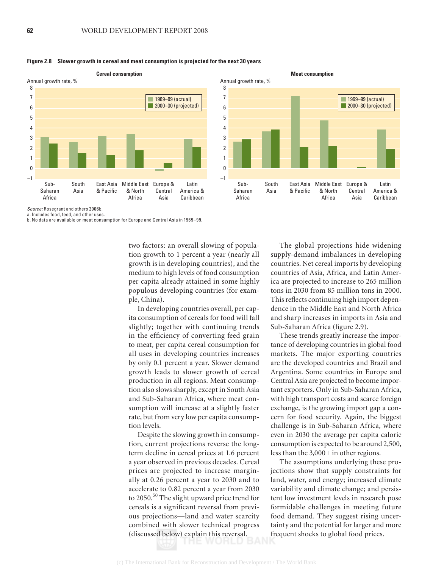



Source: Rosegrant and others 2006h.

a. Includes food, feed, and other uses.

b. No data are available on meat consumption for Europe and Central Asia in 1969–99.

two factors: an overall slowing of population growth to 1 percent a year (nearly all growth is in developing countries), and the medium to high levels of food consumption per capita already attained in some highly populous developing countries (for example, China).

In developing countries overall, per capita consumption of cereals for food will fall slightly; together with continuing trends in the efficiency of converting feed grain to meat, per capita cereal consumption for all uses in developing countries increases by only 0.1 percent a year. Slower demand growth leads to slower growth of cereal production in all regions. Meat consumption also slows sharply, except in South Asia and Sub-Saharan Africa, where meat consumption will increase at a slightly faster rate, but from very low per capita consumption levels.

Despite the slowing growth in consumption, current projections reverse the longterm decline in cereal prices at 1.6 percent a year observed in previous decades. Cereal prices are projected to increase marginally at 0.26 percent a year to 2030 and to accelerate to 0.82 percent a year from 2030 to 2050.<sup>50</sup> The slight upward price trend for cereals is a significant reversal from previous projections—land and water scarcity combined with slower technical progress (discussed below) explain this reversal.

The global projections hide widening supply-demand imbalances in developing countries. Net cereal imports by developing countries of Asia, Africa, and Latin America are projected to increase to 265 million tons in 2030 from 85 million tons in 2000. This reflects continuing high import dependence in the Middle East and North Africa and sharp increases in imports in Asia and Sub-Saharan Africa (figure 2.9).

These trends greatly increase the importance of developing countries in global food markets. The major exporting countries are the developed countries and Brazil and Argentina. Some countries in Europe and Central Asia are projected to become important exporters. Only in Sub-Saharan Africa, with high transport costs and scarce foreign exchange, is the growing import gap a concern for food security. Again, the biggest challenge is in Sub-Saharan Africa, where even in 2030 the average per capita calorie consumption is expected to be around 2,500, less than the 3,000+ in other regions.

The assumptions underlying these projections show that supply constraints for land, water, and energy; increased climate variability and climate change; and persistent low investment levels in research pose formidable challenges in meeting future food demand. They suggest rising uncertainty and the potential for larger and more frequent shocks to global food prices.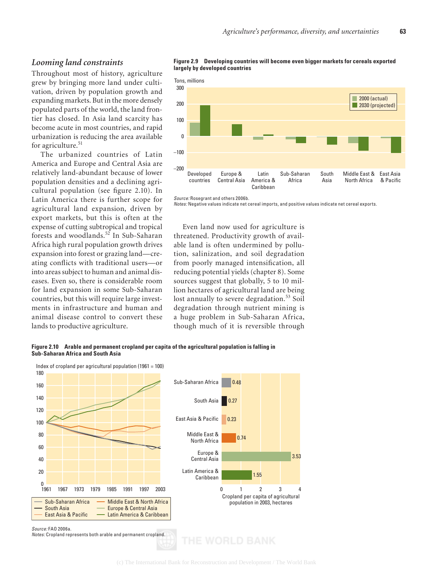## *Looming land constraints*

Throughout most of history, agriculture grew by bringing more land under cultivation, driven by population growth and expanding markets. But in the more densely populated parts of the world, the land frontier has closed. In Asia land scarcity has become acute in most countries, and rapid urbanization is reducing the area available for agriculture.<sup>51</sup>

The urbanized countries of Latin America and Europe and Central Asia are relatively land-abundant because of lower population densities and a declining agricultural population (see figure 2.10). In Latin America there is further scope for agricultural land expansion, driven by export markets, but this is often at the expense of cutting subtropical and tropical forests and woodlands.<sup>52</sup> In Sub-Saharan Africa high rural population growth drives expansion into forest or grazing land—creating conflicts with traditional users—or into areas subject to human and animal diseases. Even so, there is considerable room for land expansion in some Sub-Saharan countries, but this will require large investments in infrastructure and human and animal disease control to convert these lands to productive agriculture.

**Figure 2.9 Developing countries will become even bigger markets for cereals exported largely by developed countries**



3.53

Source: Rosegrant and others 2006b.

Notes: Negative values indicate net cereal imports, and positive values indicate net cereal exports.

Even land now used for agriculture is threatened. Productivity growth of available land is often undermined by pollution, salinization, and soil degradation from poorly managed intensification, all reducing potential yields (chapter 8). Some sources suggest that globally, 5 to 10 million hectares of agricultural land are being lost annually to severe degradation.<sup>53</sup> Soil degradation through nutrient mining is a huge problem in Sub-Saharan Africa, though much of it is reversible through

**Figure 2.10 Arable and permanent cropland per capita of the agricultural population is falling in Sub-Saharan Africa and South Asia**



#### Source: FAO 2006a.

Notes: Cropland represents both arable and permanent cropland.

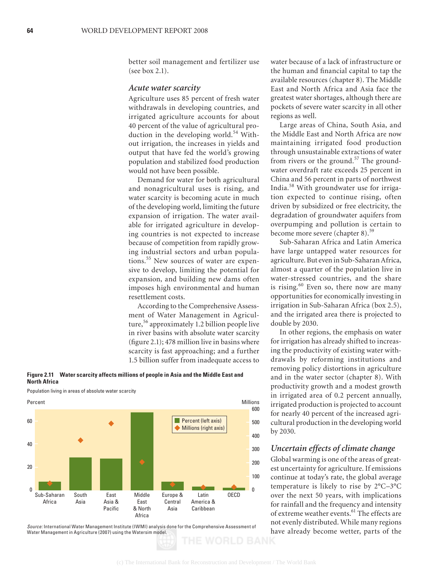better soil management and fertilizer use (see box 2.1).

## *Acute water scarcity*

Agriculture uses 85 percent of fresh water withdrawals in developing countries, and irrigated agriculture accounts for about 40 percent of the value of agricultural production in the developing world.<sup>54</sup> Without irrigation, the increases in yields and output that have fed the world's growing population and stabilized food production would not have been possible.

Demand for water for both agricultural and nonagricultural uses is rising, and water scarcity is becoming acute in much of the developing world, limiting the future expansion of irrigation. The water available for irrigated agriculture in developing countries is not expected to increase because of competition from rapidly growing industrial sectors and urban populations.55 New sources of water are expensive to develop, limiting the potential for expansion, and building new dams often imposes high environmental and human resettlement costs.

According to the Comprehensive Assessment of Water Management in Agriculture,<sup>56</sup> approximately 1.2 billion people live in river basins with absolute water scarcity (figure 2.1); 478 million live in basins where scarcity is fast approaching; and a further 1.5 billion suffer from inadequate access to

#### **Figure 2.11 Water scarcity affects millions of people in Asia and the Middle East and North Africa**

Population living in areas of absolute water scarcity



Source: International Water Management Institute (IWMI) analysis done for the Comprehensive Assessment of Water Management in Agriculture (2007) using the Watersim model.

water because of a lack of infrastructure or the human and financial capital to tap the available resources (chapter 8). The Middle East and North Africa and Asia face the greatest water shortages, although there are pockets of severe water scarcity in all other regions as well.

Large areas of China, South Asia, and the Middle East and North Africa are now maintaining irrigated food production through unsustainable extractions of water from rivers or the ground.<sup>57</sup> The groundwater overdraft rate exceeds 25 percent in China and 56 percent in parts of northwest India.58 With groundwater use for irrigation expected to continue rising, often driven by subsidized or free electricity, the degradation of groundwater aquifers from overpumping and pollution is certain to become more severe (chapter 8).<sup>59</sup>

Sub-Saharan Africa and Latin America have large untapped water resources for agriculture. But even in Sub-Saharan Africa, almost a quarter of the population live in water-stressed countries, and the share is rising. $60$  Even so, there now are many opportunities for economically investing in irrigation in Sub-Saharan Africa (box 2.5), and the irrigated area there is projected to double by 2030.

In other regions, the emphasis on water for irrigation has already shifted to increasing the productivity of existing water withdrawals by reforming institutions and removing policy distortions in agriculture and in the water sector (chapter 8). With productivity growth and a modest growth in irrigated area of 0.2 percent annually, irrigated production is projected to account for nearly 40 percent of the increased agricultural production in the developing world by 2030.

### *Uncertain effects of climate change*

Global warming is one of the areas of greatest uncertainty for agriculture. If emissions continue at today's rate, the global average temperature is likely to rise by 2°C–3°C over the next 50 years, with implications for rainfall and the frequency and intensity of extreme weather events.61 The effects are not evenly distributed. While many regions have already become wetter, parts of the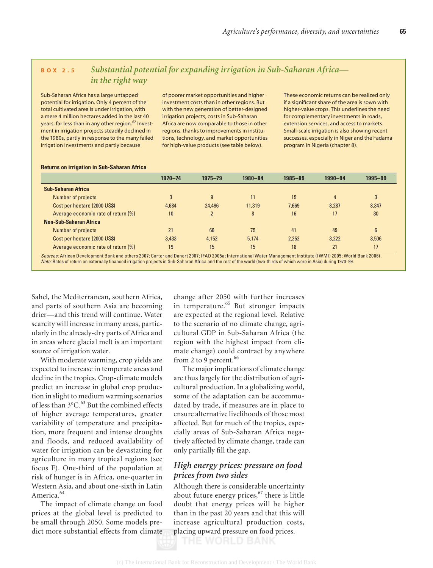# **BOX 2.5** *Substantial potential for expanding irrigation in Sub-Saharan Africa in the right way*

Sub-Saharan Africa has a large untapped potential for irrigation. Only 4 percent of the total cultivated area is under irrigation, with a mere 4 million hectares added in the last 40 years, far less than in any other region.<sup>62</sup> Investment in irrigation projects steadily declined in the 1980s, partly in response to the many failed irrigation investments and partly because

of poorer market opportunities and higher investment costs than in other regions. But with the new generation of better-designed irrigation projects, costs in Sub-Saharan Africa are now comparable to those in other regions, thanks to improvements in institutions, technology, and market opportunities for high-value products (see table below).

These economic returns can be realized only if a significant share of the area is sown with higher-value crops. This underlines the need for complementary investments in roads, extension services, and access to markets. Small-scale irrigation is also showing recent successes, especially in Niger and the Fadama program in Nigeria (chapter 8).

#### **Returns on irrigation in Sub-Saharan Africa**

|                                     | 1970-74         | $1975 - 79$    | $1980 - 84$ | $1985 - 89$ | $1990 - 94$ | $1995 - 99$    |
|-------------------------------------|-----------------|----------------|-------------|-------------|-------------|----------------|
| <b>Sub-Saharan Africa</b>           |                 |                |             |             |             |                |
| Number of projects                  | 3               | 9              | 11          | 15          | 4           | 3              |
| Cost per hectare (2000 US\$)        | 4.684           | 24.496         | 11.319      | 7.669       | 8.287       | 8,347          |
| Average economic rate of return (%) | 10 <sup>1</sup> | $\overline{2}$ | 8           | 16          | 17          | 30             |
| <b>Non-Sub-Saharan Africa</b>       |                 |                |             |             |             |                |
| Number of projects                  | 21              | 66             | 75          | 41          | 49          | $6\phantom{1}$ |
| Cost per hectare (2000 US\$)        | 3.433           | 4.152          | 5.174       | 2.252       | 3.222       | 3.506          |
| Average economic rate of return (%) | 19              | 15             | 15          | 18          | 21          | 17             |

Sources: African Development Bank and others 2007; Carter and Danert 2007; IFAD 2005a; International Water Management Institute (IWMI) 2005; World Bank 2006t. Note: Rates of return on externally financed irrigation projects in Sub-Saharan Africa and the rest of the world (two-thirds of which were in Asia) during 1970–99.

Sahel, the Mediterranean, southern Africa, and parts of southern Asia are becoming drier—and this trend will continue. Water scarcity will increase in many areas, particularly in the already-dry parts of Africa and in areas where glacial melt is an important source of irrigation water.

With moderate warming, crop yields are expected to increase in temperate areas and decline in the tropics. Crop-climate models predict an increase in global crop production in slight to medium warming scenarios of less than 3°C.<sup>63</sup> But the combined effects of higher average temperatures, greater variability of temperature and precipitation, more frequent and intense droughts and floods, and reduced availability of water for irrigation can be devastating for agriculture in many tropical regions (see focus F). One-third of the population at risk of hunger is in Africa, one-quarter in Western Asia, and about one-sixth in Latin America.<sup>64</sup>

The impact of climate change on food prices at the global level is predicted to be small through 2050. Some models predict more substantial effects from climate change after 2050 with further increases in temperature.<sup>65</sup> But stronger impacts are expected at the regional level. Relative to the scenario of no climate change, agricultural GDP in Sub-Saharan Africa (the region with the highest impact from climate change) could contract by anywhere from 2 to 9 percent.<sup>66</sup>

The major implications of climate change are thus largely for the distribution of agricultural production. In a globalizing world, some of the adaptation can be accommodated by trade, if measures are in place to ensure alternative livelihoods of those most affected. But for much of the tropics, especially areas of Sub-Saharan Africa negatively affected by climate change, trade can only partially fill the gap.

## *High energy prices: pressure on food prices from two sides*

Although there is considerable uncertainty about future energy prices, $67$  there is little doubt that energy prices will be higher than in the past 20 years and that this will increase agricultural production costs, placing upward pressure on food prices.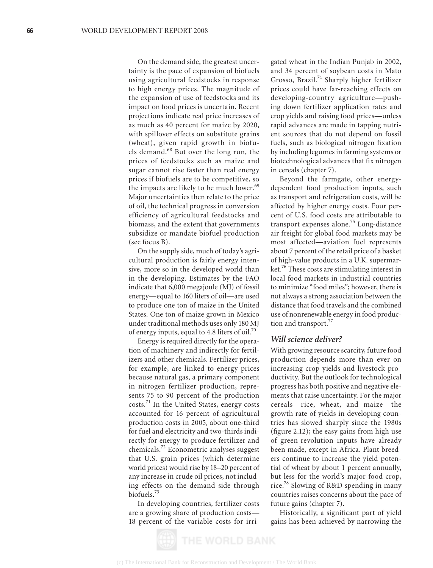On the demand side, the greatest uncertainty is the pace of expansion of biofuels using agricultural feedstocks in response to high energy prices. The magnitude of the expansion of use of feedstocks and its impact on food prices is uncertain. Recent projections indicate real price increases of as much as 40 percent for maize by 2020, with spillover effects on substitute grains (wheat), given rapid growth in biofuels demand.<sup>68</sup> But over the long run, the prices of feedstocks such as maize and sugar cannot rise faster than real energy prices if biofuels are to be competitive, so the impacts are likely to be much lower.<sup>69</sup> Major uncertainties then relate to the price of oil, the technical progress in conversion efficiency of agricultural feedstocks and biomass, and the extent that governments subsidize or mandate biofuel production (see focus B).

On the supply side, much of today's agricultural production is fairly energy intensive, more so in the developed world than in the developing. Estimates by the FAO indicate that 6,000 megajoule (MJ) of fossil energy—equal to 160 liters of oil—are used to produce one ton of maize in the United States. One ton of maize grown in Mexico under traditional methods uses only 180 MJ of energy inputs, equal to 4.8 liters of oil.<sup>70</sup>

Energy is required directly for the operation of machinery and indirectly for fertilizers and other chemicals. Fertilizer prices, for example, are linked to energy prices because natural gas, a primary component in nitrogen fertilizer production, represents 75 to 90 percent of the production costs.<sup>71</sup> In the United States, energy costs accounted for 16 percent of agricultural production costs in 2005, about one-third for fuel and electricity and two-thirds indirectly for energy to produce fertilizer and chemicals.72 Econometric analyses suggest that U.S. grain prices (which determine world prices) would rise by 18–20 percent of any increase in crude oil prices, not including effects on the demand side through biofuels.73

In developing countries, fertilizer costs are a growing share of production costs— 18 percent of the variable costs for irrigated wheat in the Indian Punjab in 2002, and 34 percent of soybean costs in Mato Grosso, Brazil.<sup>74</sup> Sharply higher fertilizer prices could have far-reaching effects on developing-country agriculture—pushing down fertilizer application rates and crop yields and raising food prices—unless rapid advances are made in tapping nutrient sources that do not depend on fossil fuels, such as biological nitrogen fixation by including legumes in farming systems or biotechnological advances that fix nitrogen in cereals (chapter 7).

Beyond the farmgate, other energydependent food production inputs, such as transport and refrigeration costs, will be affected by higher energy costs. Four percent of U.S. food costs are attributable to transport expenses alone.75 Long-distance air freight for global food markets may be most affected—aviation fuel represents about 7 percent of the retail price of a basket of high-value products in a U.K. supermarket.<sup>76</sup> These costs are stimulating interest in local food markets in industrial countries to minimize "food miles"; however, there is not always a strong association between the distance that food travels and the combined use of nonrenewable energy in food production and transport.<sup>77</sup>

## *Will science deliver?*

With growing resource scarcity, future food production depends more than ever on increasing crop yields and livestock productivity. But the outlook for technological progress has both positive and negative elements that raise uncertainty. For the major cereals—rice, wheat, and maize—the growth rate of yields in developing countries has slowed sharply since the 1980s (figure 2.12); the easy gains from high use of green-revolution inputs have already been made, except in Africa. Plant breeders continue to increase the yield potential of wheat by about 1 percent annually, but less for the world's major food crop, rice.78 Slowing of R&D spending in many countries raises concerns about the pace of future gains (chapter 7).

Historically, a significant part of yield gains has been achieved by narrowing the

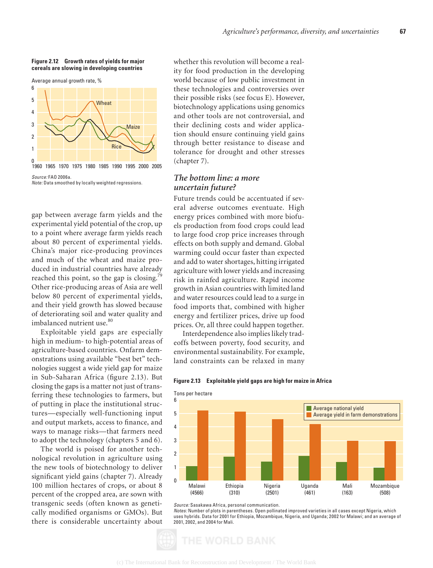#### **Figure 2.12 Growth rates of yields for major cereals are slowing in developing countries**



Note: Data smoothed by locally weighted regressions.

gap between average farm yields and the experimental yield potential of the crop, up to a point where average farm yields reach about 80 percent of experimental yields. China's major rice-producing provinces and much of the wheat and maize produced in industrial countries have already reached this point, so the gap is closing. $\frac{79}{2}$ Other rice-producing areas of Asia are well below 80 percent of experimental yields, and their yield growth has slowed because of deteriorating soil and water quality and imbalanced nutrient use.<sup>80</sup>

Exploitable yield gaps are especially high in medium- to high-potential areas of agriculture-based countries. Onfarm demonstrations using available "best bet" technologies suggest a wide yield gap for maize in Sub-Saharan Africa (figure 2.13). But closing the gaps is a matter not just of transferring these technologies to farmers, but of putting in place the institutional structures—especially well-functioning input and output markets, access to finance, and ways to manage risks—that farmers need to adopt the technology (chapters 5 and 6).

The world is poised for another technological revolution in agriculture using the new tools of biotechnology to deliver significant yield gains (chapter 7). Already 100 million hectares of crops, or about 8 percent of the cropped area, are sown with transgenic seeds (often known as genetically modified organisms or GMOs). But there is considerable uncertainty about whether this revolution will become a reality for food production in the developing world because of low public investment in these technologies and controversies over their possible risks (see focus E). However, biotechnology applications using genomics and other tools are not controversial, and their declining costs and wider application should ensure continuing yield gains through better resistance to disease and tolerance for drought and other stresses (chapter 7).

# *The bottom line: a more uncertain future?*

Future trends could be accentuated if several adverse outcomes eventuate. High energy prices combined with more biofuels production from food crops could lead to large food crop price increases through effects on both supply and demand. Global warming could occur faster than expected and add to water shortages, hitting irrigated agriculture with lower yields and increasing risk in rainfed agriculture. Rapid income growth in Asian countries with limited land and water resources could lead to a surge in food imports that, combined with higher energy and fertilizer prices, drive up food prices. Or, all three could happen together.

Interdependence also implies likely tradeoffs between poverty, food security, and environmental sustainability. For example, land constraints can be relaxed in many

#### **Figure 2.13 Exploitable yield gaps are high for maize in Africa**



Source: Sasakawa Africa, personal communication.

Notes: Number of plots in parentheses. Open pollinated improved varieties in all cases except Nigeria, which uses hybrids. Data for 2001 for Ethiopia, Mozambique, Nigeria, and Uganda; 2002 for Malawi; and an average of 2001, 2002, and 2004 for Mali.

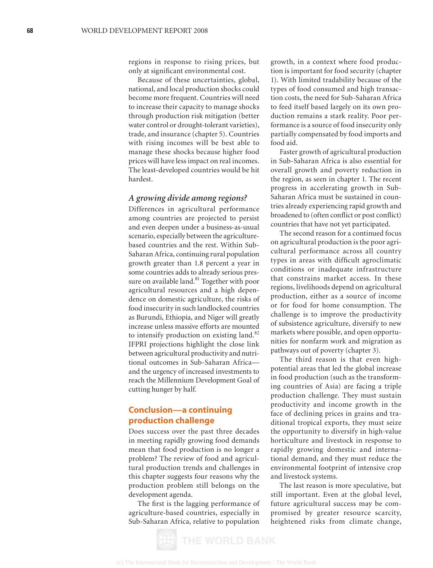regions in response to rising prices, but only at significant environmental cost.

Because of these uncertainties, global, national, and local production shocks could become more frequent. Countries will need to increase their capacity to manage shocks through production risk mitigation (better water control or drought-tolerant varieties), trade, and insurance (chapter 5). Countries with rising incomes will be best able to manage these shocks because higher food prices will have less impact on real incomes. The least-developed countries would be hit hardest.

## *A growing divide among regions?*

Differences in agricultural performance among countries are projected to persist and even deepen under a business-as-usual scenario, especially between the agriculturebased countries and the rest. Within Sub-Saharan Africa, continuing rural population growth greater than 1.8 percent a year in some countries adds to already serious pressure on available land. $81$  Together with poor agricultural resources and a high dependence on domestic agriculture, the risks of food insecurity in such landlocked countries as Burundi, Ethiopia, and Niger will greatly increase unless massive efforts are mounted to intensify production on existing land.<sup>82</sup> IFPRI projections highlight the close link between agricultural productivity and nutritional outcomes in Sub-Saharan Africa and the urgency of increased investments to reach the Millennium Development Goal of cutting hunger by half.

## **Conclusion—a continuing production challenge**

Does success over the past three decades in meeting rapidly growing food demands mean that food production is no longer a problem? The review of food and agricultural production trends and challenges in this chapter suggests four reasons why the production problem still belongs on the development agenda.

The first is the lagging performance of agriculture-based countries, especially in Sub-Saharan Africa, relative to population

growth, in a context where food production is important for food security (chapter 1). With limited tradability because of the types of food consumed and high transaction costs, the need for Sub-Saharan Africa to feed itself based largely on its own production remains a stark reality. Poor performance is a source of food insecurity only partially compensated by food imports and food aid.

Faster growth of agricultural production in Sub-Saharan Africa is also essential for overall growth and poverty reduction in the region, as seen in chapter 1. The recent progress in accelerating growth in Sub-Saharan Africa must be sustained in countries already experiencing rapid growth and broadened to (often conflict or post conflict) countries that have not yet participated.

The second reason for a continued focus on agricultural production is the poor agricultural performance across all country types in areas with difficult agroclimatic conditions or inadequate infrastructure that constrains market access. In these regions, livelihoods depend on agricultural production, either as a source of income or for food for home consumption. The challenge is to improve the productivity of subsistence agriculture, diversify to new markets where possible, and open opportunities for nonfarm work and migration as pathways out of poverty (chapter 3).

The third reason is that even highpotential areas that led the global increase in food production (such as the transforming countries of Asia) are facing a triple production challenge. They must sustain productivity and income growth in the face of declining prices in grains and traditional tropical exports, they must seize the opportunity to diversify in high-value horticulture and livestock in response to rapidly growing domestic and international demand, and they must reduce the environmental footprint of intensive crop and livestock systems.

The last reason is more speculative, but still important. Even at the global level, future agricultural success may be compromised by greater resource scarcity, heightened risks from climate change,